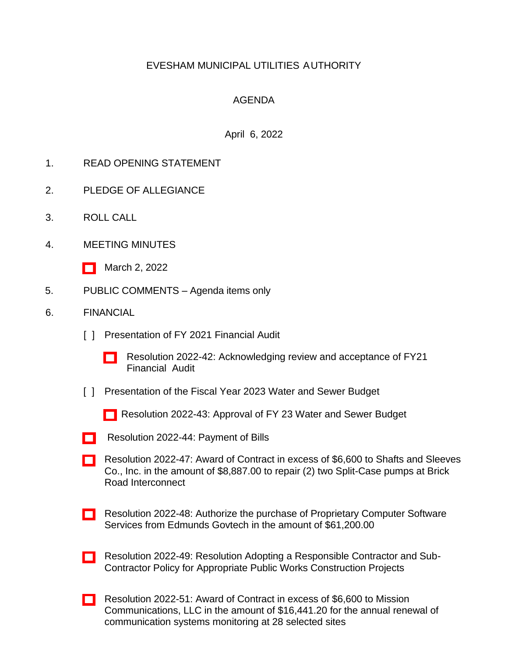# EVESHAM MUNICIPAL UTILITIES AUTHORITY

## AGENDA

### April 6, 2022

- 1. READ OPENING STATEMENT
- 2. PLEDGE OF ALLEGIANCE
- 3. ROLL CALL
- 4. MEETING MINUTES
	- [\[ \]](http://www.eveshammua.com/wp-content/uploads/2022/03/minutes-3-2-2022.pdf) March 2, 2022
- 5. PUBLIC COMMENTS Agenda items only
- 6. FINANCIAL
	- [ ] Presentation of FY 2021 Financial Audit
		- [\[ \]](http://www.eveshammua.com/wp-content/uploads/2022/04/Resolution-2022-42-Audit-Report-revised.pdf) Resolution 2022-42: Acknowledging review and acceptance of FY21 Financial Audit
	- [] Presentation of the Fiscal Year 2023 Water and Sewer Budget
		- [\[ \]](http://www.eveshammua.com/wp-content/uploads/2022/04/Resolution-2022-43-Budget-Introduction-Resolution-revised.pdf) Resolution 2022-43: Approval of FY 23 Water and Sewer Budget
	- [\[ \]](http://www.eveshammua.com/wp-content/uploads/2022/04/Resolution-2022-44-March-Bill-List-revised.pdf) Resolution 2022-44: Payment of Bills
	- [\[ \]](http://www.eveshammua.com/wp-content/uploads/2022/04/Resolution-2022-47-Shafts-Sleeves-revised.pdf) Resolution 2022-47: Award of Contract in excess of \$6,600 to Shafts and Sleeves Co., Inc. in the amount of \$8,887.00 to repair (2) two Split-Case pumps at Brick Road Interconnect
	- [\[ \]](http://www.eveshammua.com/wp-content/uploads/2022/04/Resolution-2022-48-Authorize-purchase-of-Edmunds-software-3.22.22-revised.pdf) Resolution 2022-48: Authorize the purchase of Proprietary Computer Software Services from Edmunds Govtech in the amount of \$61,200.00
	- [\[ \]](http://www.eveshammua.com/wp-content/uploads/2022/04/Resolution-2022-49-Responsible-contractor-policy-for-public-works-constr.-projects-32222-revised.pdf) Resolution 2022-49: Resolution Adopting a Responsible Contractor and Sub-Contractor Policy for Appropriate Public Works Construction Projects
	- [\[ \]](http://www.eveshammua.com/wp-content/uploads/2022/04/Resolution-2022-51-Mission-Communications-revised.pdf) Resolution 2022-51: Award of Contract in excess of \$6,600 to Mission Communications, LLC in the amount of \$16,441.20 for the annual renewal of communication systems monitoring at 28 selected sites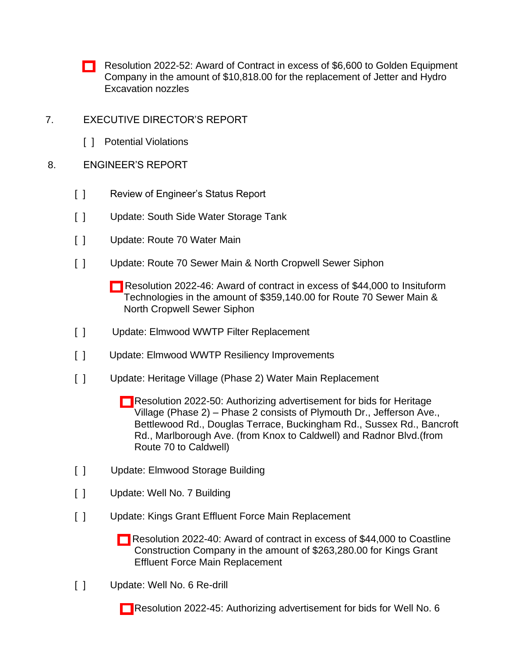- [\[ \]](http://www.eveshammua.com/wp-content/uploads/2022/04/Resolution-2022-52-Golden-Equipment-Co-revised.pdf) Resolution 2022-52: Award of Contract in excess of \$6,600 to Golden Equipment Company in the amount of \$10,818.00 for the replacement of Jetter and Hydro Excavation nozzles
- 7. EXECUTIVE DIRECTOR'S REPORT
	- [ ] Potential Violations

### 8. ENGINEER'S REPORT

- [ ] Review of Engineer's Status Report
- [ ] Update: South Side Water Storage Tank
- [ ] Update: Route 70 Water Main
- [ ] Update: Route 70 Sewer Main & North Cropwell Sewer Siphon
	- [\[ \]](http://www.eveshammua.com/wp-content/uploads/2022/04/Resolution-2022-46-Insituform-Technologies-revised.pdf) Resolution 2022-46: Award of contract in excess of \$44,000 to Insituform Technologies in the amount of \$359,140.00 for Route 70 Sewer Main & North Cropwell Sewer Siphon
- [ ] Update: Elmwood WWTP Filter Replacement
- [ ] Update: Elmwood WWTP Resiliency Improvements
- [ ] Update: Heritage Village (Phase 2) Water Main Replacement
	- [\[ \]](http://www.eveshammua.com/wp-content/uploads/2022/04/Resolution-2022-50-Authorize-advertisement-for-Heritage-Village-Phase-2-revised.pdf) Resolution 2022-50: Authorizing advertisement for bids for Heritage Village (Phase 2) – Phase 2 consists of Plymouth Dr., Jefferson Ave., Bettlewood Rd., Douglas Terrace, Buckingham Rd., Sussex Rd., Bancroft Rd., Marlborough Ave. (from Knox to Caldwell) and Radnor Blvd.(from Route 70 to Caldwell)
- [ ] Update: Elmwood Storage Building
- [ ] Update: Well No. 7 Building
- [ ] Update: Kings Grant Effluent Force Main Replacement
	- [\[ \]](http://www.eveshammua.com/wp-content/uploads/2022/04/Resolution-2022-40-Coastline-Construction-revised.pdf) Resolution 2022-40: Award of contract in excess of \$44,000 to Coastline Construction Company in the amount of \$263,280.00 for Kings Grant Effluent Force Main Replacement
- [ ] Update: Well No. 6 Re-drill
	- [\[ \]](http://www.eveshammua.com/wp-content/uploads/2022/04/Resolution-2022-45-Authorize-advertisement-for-Well-No.-6-Redrill-revised.pdf) Resolution 2022-45: Authorizing advertisement for bids for Well No. 6